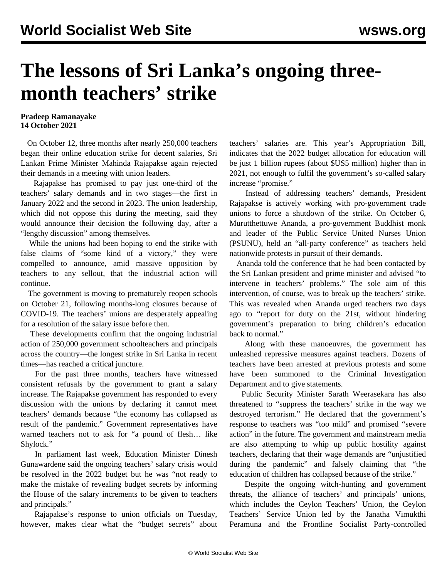## **The lessons of Sri Lanka's ongoing threemonth teachers' strike**

## **Pradeep Ramanayake 14 October 2021**

 On October 12, three months after nearly 250,000 teachers began their online education strike for decent salaries, Sri Lankan Prime Minister Mahinda Rajapakse again rejected their demands in a meeting with union leaders.

 Rajapakse has promised to pay just one-third of the teachers' salary demands and in two stages—the first in January 2022 and the second in 2023. The union leadership, which did not oppose this during the meeting, said they would announce their decision the following day, after a "lengthy discussion" among themselves.

 While the unions had been hoping to end the strike with false claims of "some kind of a victory," they were compelled to announce, amid massive opposition by teachers to any sellout, that the industrial action will continue.

 The government is moving to prematurely reopen schools on October 21, following months-long closures because of COVID-19. The teachers' unions are desperately appealing for a resolution of the salary issue before then.

 These developments confirm that the ongoing industrial action of 250,000 government schoolteachers and principals across the country—the longest strike in Sri Lanka in recent times—has reached a critical juncture.

 For the past three months, teachers have witnessed consistent refusals by the government to grant a salary increase. The Rajapakse government has responded to every discussion with the unions by declaring it cannot meet teachers' demands because "the economy has collapsed as result of the pandemic." Government representatives have warned teachers not to ask for "a pound of flesh… like Shylock."

 In parliament last week, Education Minister Dinesh Gunawardene said the ongoing teachers' salary crisis would be resolved in the 2022 budget but he was "not ready to make the mistake of revealing budget secrets by informing the House of the salary increments to be given to teachers and principals."

 Rajapakse's response to union officials on Tuesday, however, makes clear what the "budget secrets" about teachers' salaries are. This year's Appropriation Bill, indicates that the 2022 budget allocation for education will be just 1 billion rupees (about \$US5 million) higher than in 2021, not enough to fulfil the government's so-called salary increase "promise."

 Instead of addressing teachers' demands, President Rajapakse is actively working with pro-government trade unions to force a shutdown of the strike. On October 6, Murutthettuwe Ananda, a pro-government Buddhist monk and leader of the Public Service United Nurses Union (PSUNU), held an "all-party conference" as teachers held [nationwide protests](/en/articles/2021/10/08/srte-o08.html) in pursuit of their demands.

 Ananda told the conference that he had been contacted by the Sri Lankan president and prime minister and advised "to intervene in teachers' problems." The sole aim of this intervention, of course, was to break up the teachers' strike. This was revealed when Ananda urged teachers two days ago to "report for duty on the 21st, without hindering government's preparation to bring children's education back to normal."

 Along with these manoeuvres, the government has unleashed repressive measures against teachers. Dozens of teachers have been arrested at previous protests and some have been summoned to the Criminal Investigation Department and to give statements.

 Public Security Minister Sarath Weerasekara has also threatened to "suppress the teachers' strike in the way we destroyed terrorism." He declared that the government's response to teachers was "too mild" and promised "severe action" in the future. The government and mainstream media are also attempting to whip up public hostility against teachers, declaring that their wage demands are "unjustified during the pandemic" and falsely claiming that "the education of children has collapsed because of the strike."

 Despite the ongoing witch-hunting and government threats, the alliance of teachers' and principals' unions, which includes the Ceylon Teachers' Union, the Ceylon Teachers' Service Union led by the Janatha Vimukthi Peramuna and the Frontline Socialist Party-controlled